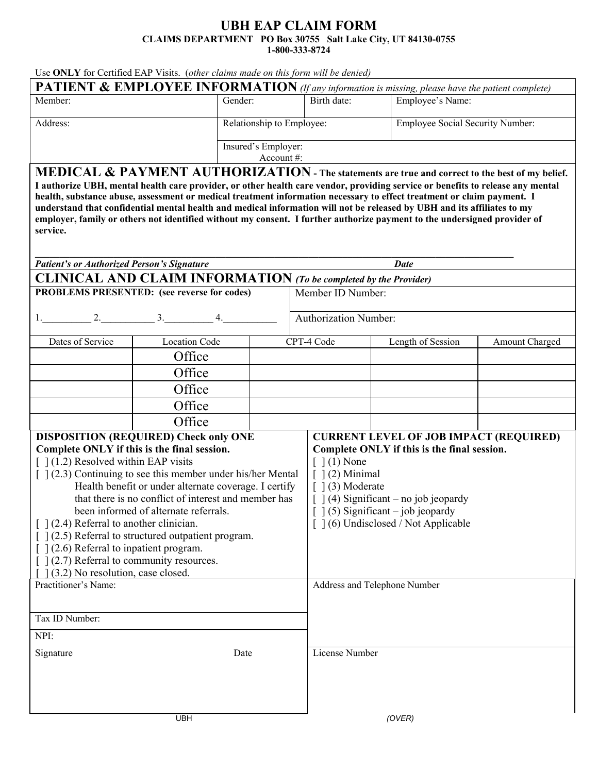## **UBH EAP CLAIM FORM CLAIMS DEPARTMENT PO Box 30755 Salt Lake City, UT 84130-0755 1-800-333-8724**

Use **ONLY** for Certified EAP Visits. (*other claims made on this form will be denied)* 

| <b>PATIENT &amp; EMPLOYEE INFORMATION</b> (If any information is missing, please have the patient complete) |                           |             |                                         |  |  |  |
|-------------------------------------------------------------------------------------------------------------|---------------------------|-------------|-----------------------------------------|--|--|--|
| Member:                                                                                                     | Gender:                   | Birth date: | Employee's Name:                        |  |  |  |
|                                                                                                             |                           |             |                                         |  |  |  |
| Address:                                                                                                    | Relationship to Employee: |             | <b>Employee Social Security Number:</b> |  |  |  |
|                                                                                                             | Insured's Employer:       |             |                                         |  |  |  |
|                                                                                                             | Account $#$ :             |             |                                         |  |  |  |

**MEDICAL & PAYMENT AUTHORIZATION - The statements are true and correct to the best of my belief. I authorize UBH, mental health care provider, or other health care vendor, providing service or benefits to release any mental health, substance abuse, assessment or medical treatment information necessary to effect treatment or claim payment. I understand that confidential mental health and medical information will not be released by UBH and its affiliates to my employer, family or others not identified without my consent. I further authorize payment to the undersigned provider of service.** 

| <b>Patient's or Authorized Person's Signature</b>                                                             |                                                                    |                   | <b>Date</b>                  |                                               |                |  |
|---------------------------------------------------------------------------------------------------------------|--------------------------------------------------------------------|-------------------|------------------------------|-----------------------------------------------|----------------|--|
| <b>CLINICAL AND CLAIM INFORMATION</b> (To be completed by the Provider)                                       |                                                                    |                   |                              |                                               |                |  |
| PROBLEMS PRESENTED: (see reverse for codes)                                                                   |                                                                    | Member ID Number: |                              |                                               |                |  |
| $1.$ $2.$                                                                                                     | $3.$ 4.                                                            |                   | Authorization Number:        |                                               |                |  |
|                                                                                                               |                                                                    |                   |                              |                                               |                |  |
| Dates of Service                                                                                              | <b>Location Code</b>                                               |                   | CPT-4 Code                   | Length of Session                             | Amount Charged |  |
|                                                                                                               | Office                                                             |                   |                              |                                               |                |  |
|                                                                                                               | Office                                                             |                   |                              |                                               |                |  |
|                                                                                                               | Office                                                             |                   |                              |                                               |                |  |
|                                                                                                               | Office                                                             |                   |                              |                                               |                |  |
|                                                                                                               | Office                                                             |                   |                              |                                               |                |  |
|                                                                                                               | <b>DISPOSITION (REQUIRED) Check only ONE</b>                       |                   |                              | <b>CURRENT LEVEL OF JOB IMPACT (REQUIRED)</b> |                |  |
|                                                                                                               | Complete ONLY if this is the final session.                        |                   |                              | Complete ONLY if this is the final session.   |                |  |
| $\lceil$ 1(1.2) Resolved within EAP visits                                                                    |                                                                    |                   |                              | $\lceil 1(1) \text{ None} \rceil$             |                |  |
|                                                                                                               | $\lceil 1(2.3)$ Continuing to see this member under his/her Mental |                   |                              | $\lceil$ (2) Minimal<br>$\lceil$ (3) Moderate |                |  |
| Health benefit or under alternate coverage. I certify<br>that there is no conflict of interest and member has |                                                                    |                   |                              | $\lceil$ 1(4) Significant – no job jeopardy   |                |  |
| been informed of alternate referrals.                                                                         |                                                                    |                   |                              | $\lceil 1(5)$ Significant – job jeopardy      |                |  |
| $\lceil$ 1(2.4) Referral to another clinician.                                                                |                                                                    |                   |                              | [ ] (6) Undisclosed / Not Applicable          |                |  |
| $\lceil$ 1(2.5) Referral to structured outpatient program.                                                    |                                                                    |                   |                              |                                               |                |  |
| $\lceil$ (2.6) Referral to inpatient program.                                                                 |                                                                    |                   |                              |                                               |                |  |
| $[ ] (2.7)$ Referral to community resources.                                                                  |                                                                    |                   |                              |                                               |                |  |
| [(3.2) No resolution, case closed.                                                                            |                                                                    |                   |                              |                                               |                |  |
| Practitioner's Name:                                                                                          |                                                                    |                   | Address and Telephone Number |                                               |                |  |
|                                                                                                               |                                                                    |                   |                              |                                               |                |  |
| Tax ID Number:                                                                                                |                                                                    |                   |                              |                                               |                |  |
| NPI:                                                                                                          |                                                                    |                   |                              |                                               |                |  |
| Signature                                                                                                     | Date                                                               |                   | License Number               |                                               |                |  |
|                                                                                                               |                                                                    |                   |                              |                                               |                |  |
|                                                                                                               |                                                                    |                   |                              |                                               |                |  |
|                                                                                                               |                                                                    |                   |                              |                                               |                |  |
|                                                                                                               | <b>UBH</b>                                                         |                   |                              | (OVER)                                        |                |  |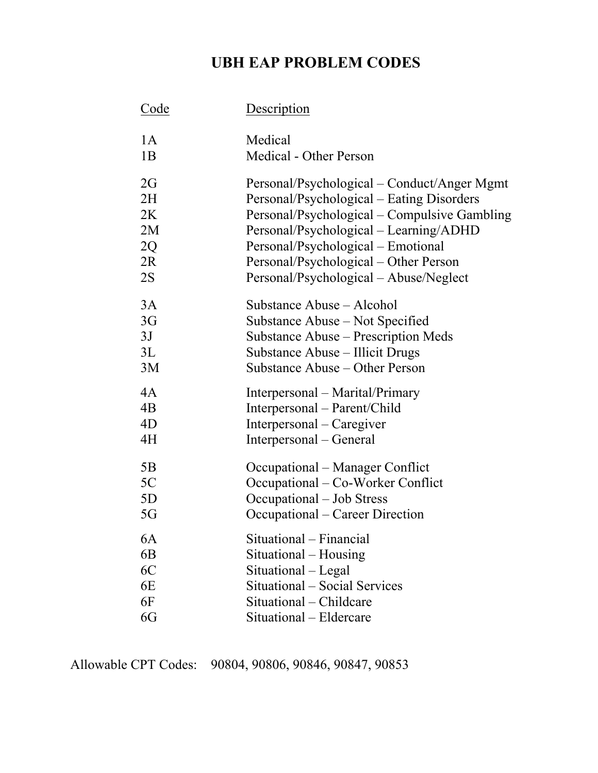## **UBH EAP PROBLEM CODES**

| <u>Code</u> | <b>Description</b><br>Medical                        |  |  |  |
|-------------|------------------------------------------------------|--|--|--|
| 1A          |                                                      |  |  |  |
| 1B          | Medical - Other Person                               |  |  |  |
| 2G          | Personal/Psychological – Conduct/Anger Mgmt          |  |  |  |
| 2H          | Personal/Psychological – Eating Disorders            |  |  |  |
| 2K          | Personal/Psychological – Compulsive Gambling         |  |  |  |
| 2M          | Personal/Psychological – Learning/ADHD               |  |  |  |
| 2Q          | Personal/Psychological – Emotional                   |  |  |  |
| 2R          | Personal/Psychological – Other Person                |  |  |  |
| 2S          | Personal/Psychological - Abuse/Neglect               |  |  |  |
| 3A          | Substance Abuse – Alcohol                            |  |  |  |
| 3G          | Substance Abuse – Not Specified                      |  |  |  |
| 3J          | Substance Abuse – Prescription Meds                  |  |  |  |
| 3L          | Substance Abuse – Illicit Drugs                      |  |  |  |
| 3M          | Substance Abuse – Other Person                       |  |  |  |
| 4A          | Interpersonal – Marital/Primary                      |  |  |  |
| 4B          | Interpersonal – Parent/Child                         |  |  |  |
| 4D          | Interpersonal – Caregiver                            |  |  |  |
| 4H          | Interpersonal – General                              |  |  |  |
| 5B          | Occupational – Manager Conflict                      |  |  |  |
| 5C          | Occupational – Co-Worker Conflict                    |  |  |  |
| 5D          | Occupational - Job Stress                            |  |  |  |
| 5G          | Occupational – Career Direction                      |  |  |  |
| 6A          | Situational – Financial                              |  |  |  |
| 6B          | Situational – Housing                                |  |  |  |
| 6C          | Situational – Legal<br>Situational – Social Services |  |  |  |
| 6E          |                                                      |  |  |  |
| 6F          | Situational - Childcare                              |  |  |  |
| 6G          | Situational - Eldercare                              |  |  |  |

Allowable CPT Codes: 90804, 90806, 90846, 90847, 90853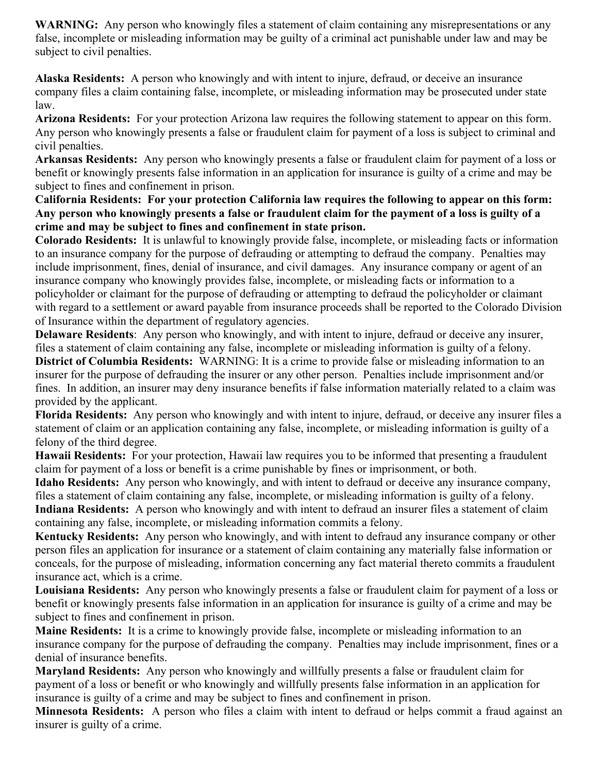**WARNING:** Any person who knowingly files a statement of claim containing any misrepresentations or any false, incomplete or misleading information may be guilty of a criminal act punishable under law and may be subject to civil penalties.

**Alaska Residents:** A person who knowingly and with intent to injure, defraud, or deceive an insurance company files a claim containing false, incomplete, or misleading information may be prosecuted under state law.

**Arizona Residents:** For your protection Arizona law requires the following statement to appear on this form. Any person who knowingly presents a false or fraudulent claim for payment of a loss is subject to criminal and civil penalties.

**Arkansas Residents:** Any person who knowingly presents a false or fraudulent claim for payment of a loss or benefit or knowingly presents false information in an application for insurance is guilty of a crime and may be subject to fines and confinement in prison.

**California Residents: For your protection California law requires the following to appear on this form: Any person who knowingly presents a false or fraudulent claim for the payment of a loss is guilty of a crime and may be subject to fines and confinement in state prison.**

**Colorado Residents:** It is unlawful to knowingly provide false, incomplete, or misleading facts or information to an insurance company for the purpose of defrauding or attempting to defraud the company. Penalties may include imprisonment, fines, denial of insurance, and civil damages. Any insurance company or agent of an insurance company who knowingly provides false, incomplete, or misleading facts or information to a policyholder or claimant for the purpose of defrauding or attempting to defraud the policyholder or claimant with regard to a settlement or award payable from insurance proceeds shall be reported to the Colorado Division of Insurance within the department of regulatory agencies.

**Delaware Residents**: Any person who knowingly, and with intent to injure, defraud or deceive any insurer, files a statement of claim containing any false, incomplete or misleading information is guilty of a felony.

**District of Columbia Residents:** WARNING: It is a crime to provide false or misleading information to an insurer for the purpose of defrauding the insurer or any other person. Penalties include imprisonment and/or fines. In addition, an insurer may deny insurance benefits if false information materially related to a claim was provided by the applicant.

**Florida Residents:** Any person who knowingly and with intent to injure, defraud, or deceive any insurer files a statement of claim or an application containing any false, incomplete, or misleading information is guilty of a felony of the third degree.

**Hawaii Residents:** For your protection, Hawaii law requires you to be informed that presenting a fraudulent claim for payment of a loss or benefit is a crime punishable by fines or imprisonment, or both.

**Idaho Residents:** Any person who knowingly, and with intent to defraud or deceive any insurance company, files a statement of claim containing any false, incomplete, or misleading information is guilty of a felony. **Indiana Residents:** A person who knowingly and with intent to defraud an insurer files a statement of claim containing any false, incomplete, or misleading information commits a felony.

**Kentucky Residents:** Any person who knowingly, and with intent to defraud any insurance company or other person files an application for insurance or a statement of claim containing any materially false information or conceals, for the purpose of misleading, information concerning any fact material thereto commits a fraudulent insurance act, which is a crime.

**Louisiana Residents:** Any person who knowingly presents a false or fraudulent claim for payment of a loss or benefit or knowingly presents false information in an application for insurance is guilty of a crime and may be subject to fines and confinement in prison.

**Maine Residents:** It is a crime to knowingly provide false, incomplete or misleading information to an insurance company for the purpose of defrauding the company. Penalties may include imprisonment, fines or a denial of insurance benefits.

**Maryland Residents:** Any person who knowingly and willfully presents a false or fraudulent claim for payment of a loss or benefit or who knowingly and willfully presents false information in an application for insurance is guilty of a crime and may be subject to fines and confinement in prison.

**Minnesota Residents:** A person who files a claim with intent to defraud or helps commit a fraud against an insurer is guilty of a crime.